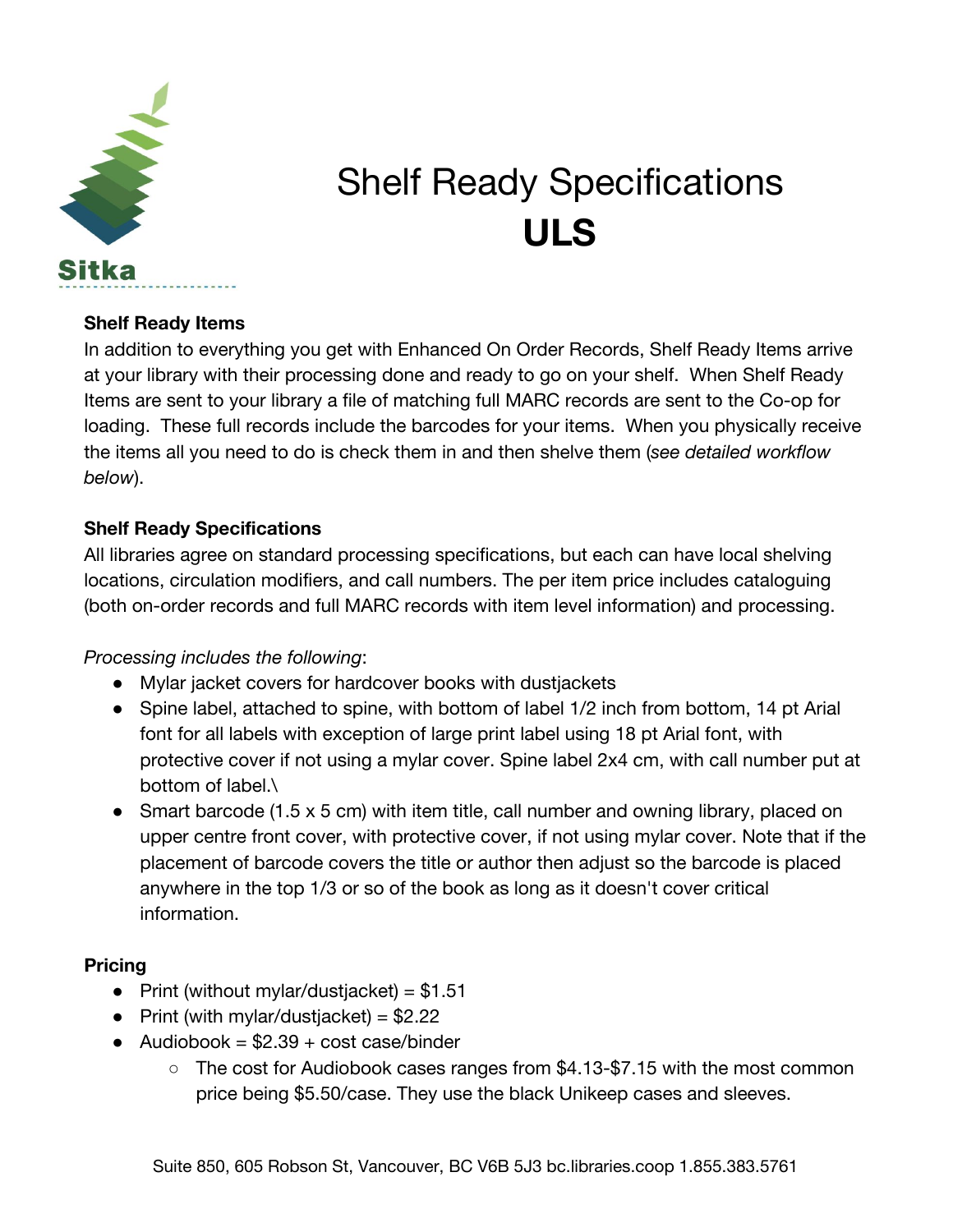

# Shelf Ready Specifications **ULS**

### **Shelf Ready Items**

In addition to everything you get with Enhanced On Order Records, Shelf Ready Items arrive at your library with their processing done and ready to go on your shelf. When Shelf Ready Items are sent to your library a file of matching full MARC records are sent to the Co-op for loading. These full records include the barcodes for your items. When you physically receive the items all you need to do is check them in and then shelve them (*see detailed workflow below*).

### **Shelf Ready Specifications**

All libraries agree on standard processing specifications, but each can have local shelving locations, circulation modifiers, and call numbers. The per item price includes cataloguing (both on-order records and full MARC records with item level information) and processing.

### *Processing includes the following*:

- Mylar jacket covers for hardcover books with dustjackets
- Spine label, attached to spine, with bottom of label 1/2 inch from bottom, 14 pt Arial font for all labels with exception of large print label using 18 pt Arial font, with protective cover if not using a mylar cover. Spine label 2x4 cm, with call number put at bottom of label.\
- Smart barcode (1.5 x 5 cm) with item title, call number and owning library, placed on upper centre front cover, with protective cover, if not using mylar cover. Note that if the placement of barcode covers the title or author then adjust so the barcode is placed anywhere in the top 1/3 or so of the book as long as it doesn't cover critical information.

### **Pricing**

- Print (without mylar/dustjacket) =  $$1.51$
- Print (with mylar/dustjacket) =  $$2.22$
- Audiobook =  $$2.39 + cost case/binder$ 
	- The cost for Audiobook cases ranges from \$4.13-\$7.15 with the most common price being \$5.50/case. They use the black Unikeep cases and sleeves.